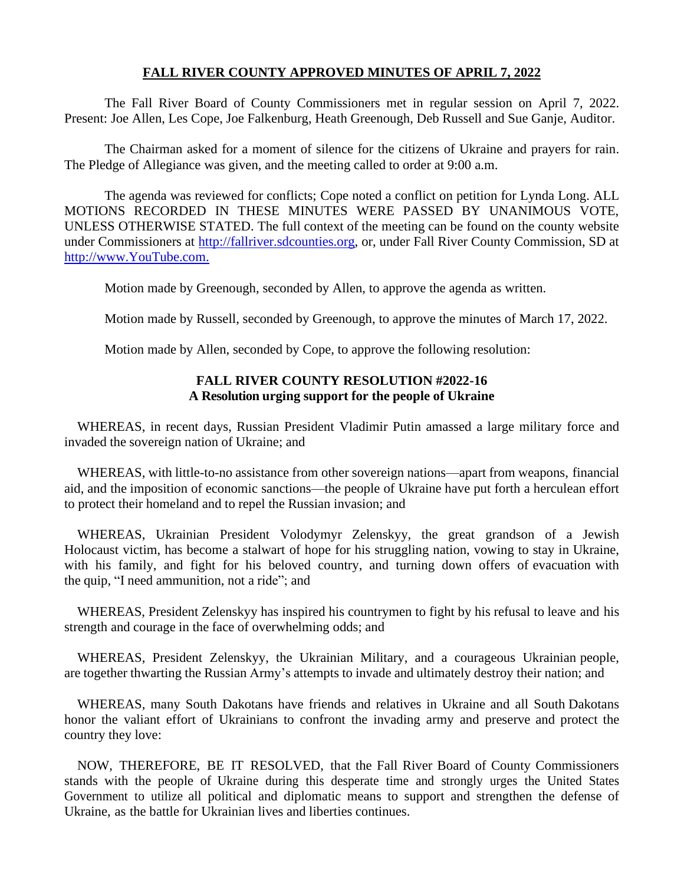# **FALL RIVER COUNTY APPROVED MINUTES OF APRIL 7, 2022**

The Fall River Board of County Commissioners met in regular session on April 7, 2022. Present: Joe Allen, Les Cope, Joe Falkenburg, Heath Greenough, Deb Russell and Sue Ganje, Auditor.

The Chairman asked for a moment of silence for the citizens of Ukraine and prayers for rain. The Pledge of Allegiance was given, and the meeting called to order at 9:00 a.m.

The agenda was reviewed for conflicts; Cope noted a conflict on petition for Lynda Long. ALL MOTIONS RECORDED IN THESE MINUTES WERE PASSED BY UNANIMOUS VOTE, UNLESS OTHERWISE STATED. The full context of the meeting can be found on the county website under Commissioners at [http://fallriver.sdcounties.org,](http://fallriver.sdcounties.org/) or, under Fall River County Commission, SD at [http://www.YouTube.com.](http://www.youtube.com/)

Motion made by Greenough, seconded by Allen, to approve the agenda as written.

Motion made by Russell, seconded by Greenough, to approve the minutes of March 17, 2022.

Motion made by Allen, seconded by Cope, to approve the following resolution:

# **FALL RIVER COUNTY RESOLUTION #2022-16 A Resolution urging support for the people of Ukraine**

WHEREAS, in recent days, Russian President Vladimir Putin amassed a large military force and invaded the sovereign nation of Ukraine; and

WHEREAS, with little-to-no assistance from other sovereign nations—apart from weapons, financial aid, and the imposition of economic sanctions—the people of Ukraine have put forth a herculean effort to protect their homeland and to repel the Russian invasion; and

WHEREAS, Ukrainian President Volodymyr Zelenskyy, the great grandson of a Jewish Holocaust victim, has become a stalwart of hope for his struggling nation, vowing to stay in Ukraine, with his family, and fight for his beloved country, and turning down offers of evacuation with the quip, "I need ammunition, not a ride"; and

WHEREAS, President Zelenskyy has inspired his countrymen to fight by his refusal to leave and his strength and courage in the face of overwhelming odds; and

WHEREAS, President Zelenskyy, the Ukrainian Military, and a courageous Ukrainian people, are together thwarting the Russian Army's attempts to invade and ultimately destroy their nation; and

WHEREAS, many South Dakotans have friends and relatives in Ukraine and all South Dakotans honor the valiant effort of Ukrainians to confront the invading army and preserve and protect the country they love:

NOW, THEREFORE, BE IT RESOLVED, that the Fall River Board of County Commissioners stands with the people of Ukraine during this desperate time and strongly urges the United States Government to utilize all political and diplomatic means to support and strengthen the defense of Ukraine, as the battle for Ukrainian lives and liberties continues.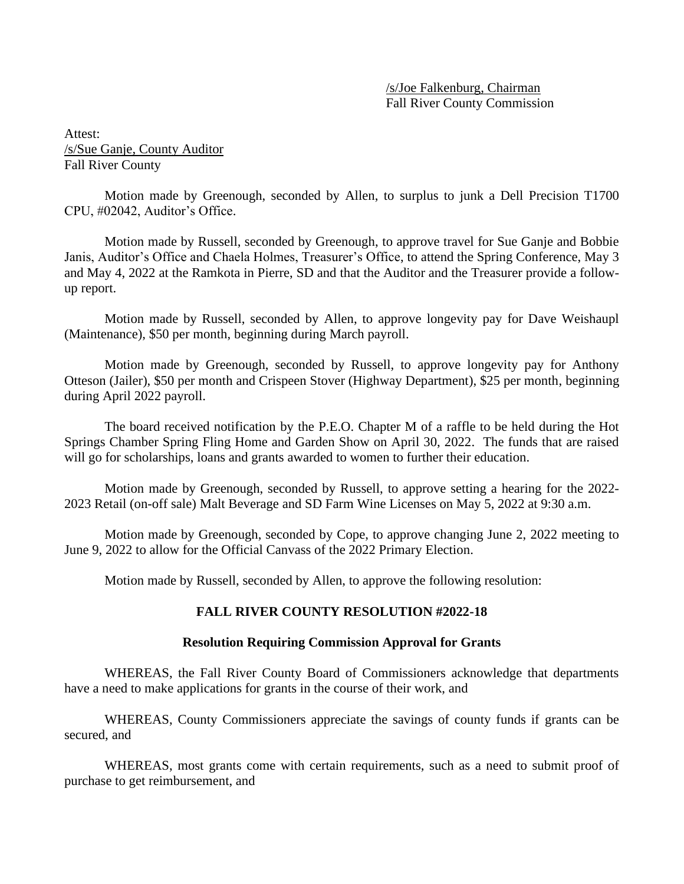/s/Joe Falkenburg, Chairman Fall River County Commission

Attest: /s/Sue Ganje, County Auditor Fall River County

Motion made by Greenough, seconded by Allen, to surplus to junk a Dell Precision T1700 CPU, #02042, Auditor's Office.

Motion made by Russell, seconded by Greenough, to approve travel for Sue Ganje and Bobbie Janis, Auditor's Office and Chaela Holmes, Treasurer's Office, to attend the Spring Conference, May 3 and May 4, 2022 at the Ramkota in Pierre, SD and that the Auditor and the Treasurer provide a followup report.

Motion made by Russell, seconded by Allen, to approve longevity pay for Dave Weishaupl (Maintenance), \$50 per month, beginning during March payroll.

Motion made by Greenough, seconded by Russell, to approve longevity pay for Anthony Otteson (Jailer), \$50 per month and Crispeen Stover (Highway Department), \$25 per month, beginning during April 2022 payroll.

The board received notification by the P.E.O. Chapter M of a raffle to be held during the Hot Springs Chamber Spring Fling Home and Garden Show on April 30, 2022. The funds that are raised will go for scholarships, loans and grants awarded to women to further their education.

Motion made by Greenough, seconded by Russell, to approve setting a hearing for the 2022- 2023 Retail (on-off sale) Malt Beverage and SD Farm Wine Licenses on May 5, 2022 at 9:30 a.m.

Motion made by Greenough, seconded by Cope, to approve changing June 2, 2022 meeting to June 9, 2022 to allow for the Official Canvass of the 2022 Primary Election.

Motion made by Russell, seconded by Allen, to approve the following resolution:

# **FALL RIVER COUNTY RESOLUTION #2022-18**

## **Resolution Requiring Commission Approval for Grants**

WHEREAS, the Fall River County Board of Commissioners acknowledge that departments have a need to make applications for grants in the course of their work, and

WHEREAS, County Commissioners appreciate the savings of county funds if grants can be secured, and

WHEREAS, most grants come with certain requirements, such as a need to submit proof of purchase to get reimbursement, and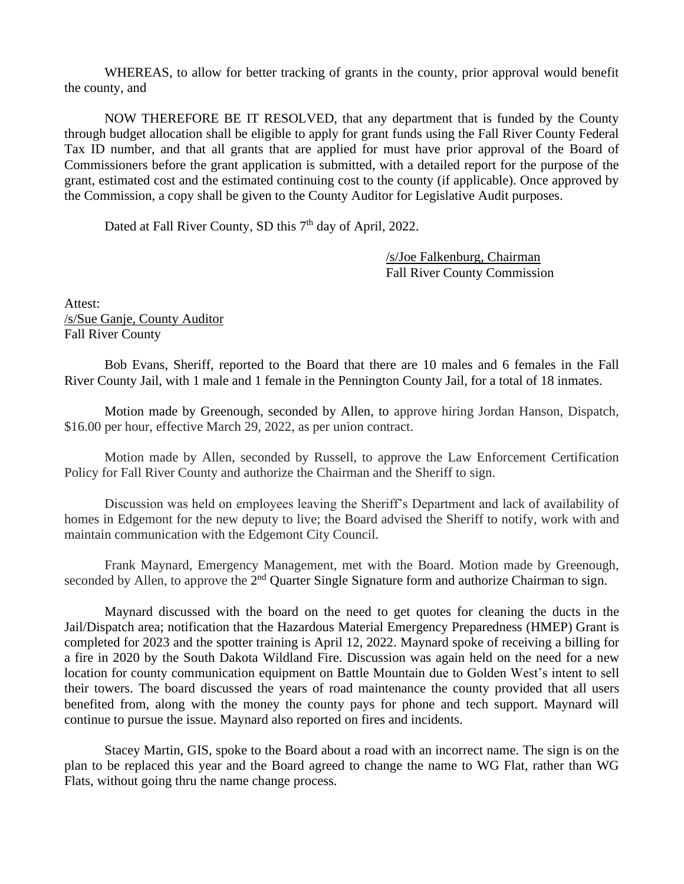WHEREAS, to allow for better tracking of grants in the county, prior approval would benefit the county, and

NOW THEREFORE BE IT RESOLVED, that any department that is funded by the County through budget allocation shall be eligible to apply for grant funds using the Fall River County Federal Tax ID number, and that all grants that are applied for must have prior approval of the Board of Commissioners before the grant application is submitted, with a detailed report for the purpose of the grant, estimated cost and the estimated continuing cost to the county (if applicable). Once approved by the Commission, a copy shall be given to the County Auditor for Legislative Audit purposes.

Dated at Fall River County, SD this 7<sup>th</sup> day of April, 2022.

/s/Joe Falkenburg, Chairman Fall River County Commission

Attest: /s/Sue Ganje, County Auditor Fall River County

Bob Evans, Sheriff, reported to the Board that there are 10 males and 6 females in the Fall River County Jail, with 1 male and 1 female in the Pennington County Jail, for a total of 18 inmates.

Motion made by Greenough, seconded by Allen, to approve hiring Jordan Hanson, Dispatch, \$16.00 per hour, effective March 29, 2022, as per union contract.

Motion made by Allen, seconded by Russell, to approve the Law Enforcement Certification Policy for Fall River County and authorize the Chairman and the Sheriff to sign.

Discussion was held on employees leaving the Sheriff's Department and lack of availability of homes in Edgemont for the new deputy to live; the Board advised the Sheriff to notify, work with and maintain communication with the Edgemont City Council.

Frank Maynard, Emergency Management, met with the Board. Motion made by Greenough, seconded by Allen, to approve the  $2<sup>nd</sup>$  Quarter Single Signature form and authorize Chairman to sign.

Maynard discussed with the board on the need to get quotes for cleaning the ducts in the Jail/Dispatch area; notification that the Hazardous Material Emergency Preparedness (HMEP) Grant is completed for 2023 and the spotter training is April 12, 2022. Maynard spoke of receiving a billing for a fire in 2020 by the South Dakota Wildland Fire. Discussion was again held on the need for a new location for county communication equipment on Battle Mountain due to Golden West's intent to sell their towers. The board discussed the years of road maintenance the county provided that all users benefited from, along with the money the county pays for phone and tech support. Maynard will continue to pursue the issue. Maynard also reported on fires and incidents.

Stacey Martin, GIS, spoke to the Board about a road with an incorrect name. The sign is on the plan to be replaced this year and the Board agreed to change the name to WG Flat, rather than WG Flats, without going thru the name change process.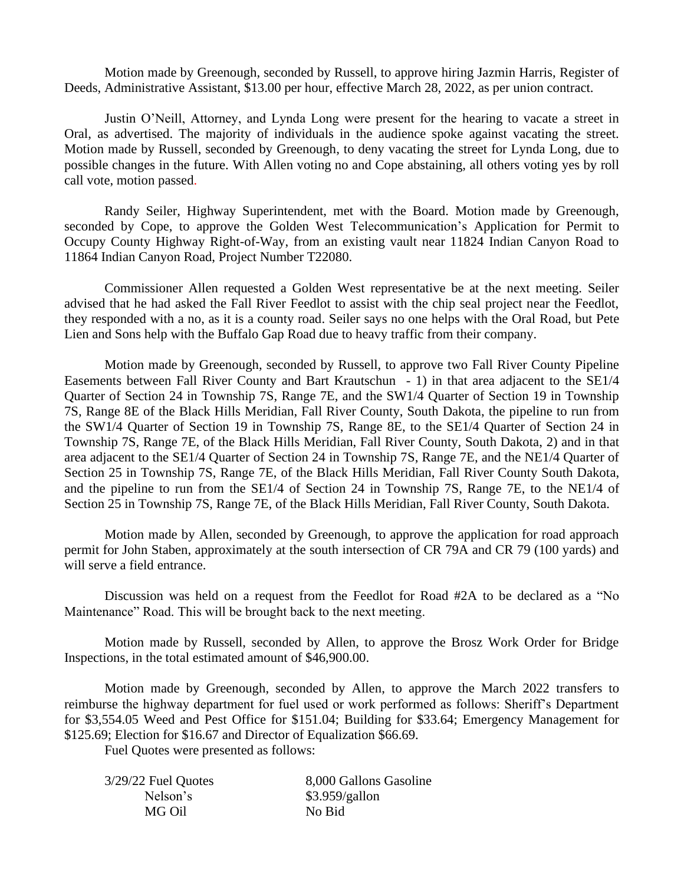Motion made by Greenough, seconded by Russell, to approve hiring Jazmin Harris, Register of Deeds, Administrative Assistant, \$13.00 per hour, effective March 28, 2022, as per union contract.

Justin O'Neill, Attorney, and Lynda Long were present for the hearing to vacate a street in Oral, as advertised. The majority of individuals in the audience spoke against vacating the street. Motion made by Russell, seconded by Greenough, to deny vacating the street for Lynda Long, due to possible changes in the future. With Allen voting no and Cope abstaining, all others voting yes by roll call vote, motion passed.

Randy Seiler, Highway Superintendent, met with the Board. Motion made by Greenough, seconded by Cope, to approve the Golden West Telecommunication's Application for Permit to Occupy County Highway Right-of-Way, from an existing vault near 11824 Indian Canyon Road to 11864 Indian Canyon Road, Project Number T22080.

Commissioner Allen requested a Golden West representative be at the next meeting. Seiler advised that he had asked the Fall River Feedlot to assist with the chip seal project near the Feedlot, they responded with a no, as it is a county road. Seiler says no one helps with the Oral Road, but Pete Lien and Sons help with the Buffalo Gap Road due to heavy traffic from their company.

Motion made by Greenough, seconded by Russell, to approve two Fall River County Pipeline Easements between Fall River County and Bart Krautschun - 1) in that area adjacent to the SE1/4 Quarter of Section 24 in Township 7S, Range 7E, and the SW1/4 Quarter of Section 19 in Township 7S, Range 8E of the Black Hills Meridian, Fall River County, South Dakota, the pipeline to run from the SW1/4 Quarter of Section 19 in Township 7S, Range 8E, to the SE1/4 Quarter of Section 24 in Township 7S, Range 7E, of the Black Hills Meridian, Fall River County, South Dakota, 2) and in that area adjacent to the SE1/4 Quarter of Section 24 in Township 7S, Range 7E, and the NE1/4 Quarter of Section 25 in Township 7S, Range 7E, of the Black Hills Meridian, Fall River County South Dakota, and the pipeline to run from the SE1/4 of Section 24 in Township 7S, Range 7E, to the NE1/4 of Section 25 in Township 7S, Range 7E, of the Black Hills Meridian, Fall River County, South Dakota.

Motion made by Allen, seconded by Greenough, to approve the application for road approach permit for John Staben, approximately at the south intersection of CR 79A and CR 79 (100 yards) and will serve a field entrance.

Discussion was held on a request from the Feedlot for Road #2A to be declared as a "No Maintenance" Road. This will be brought back to the next meeting.

Motion made by Russell, seconded by Allen, to approve the Brosz Work Order for Bridge Inspections, in the total estimated amount of \$46,900.00.

Motion made by Greenough, seconded by Allen, to approve the March 2022 transfers to reimburse the highway department for fuel used or work performed as follows: Sheriff's Department for \$3,554.05 Weed and Pest Office for \$151.04; Building for \$33.64; Emergency Management for \$125.69; Election for \$16.67 and Director of Equalization \$66.69.

Fuel Quotes were presented as follows:

| 8,000 Gallons Gasoline |
|------------------------|
| \$3.959/gallon         |
| No Bid                 |
|                        |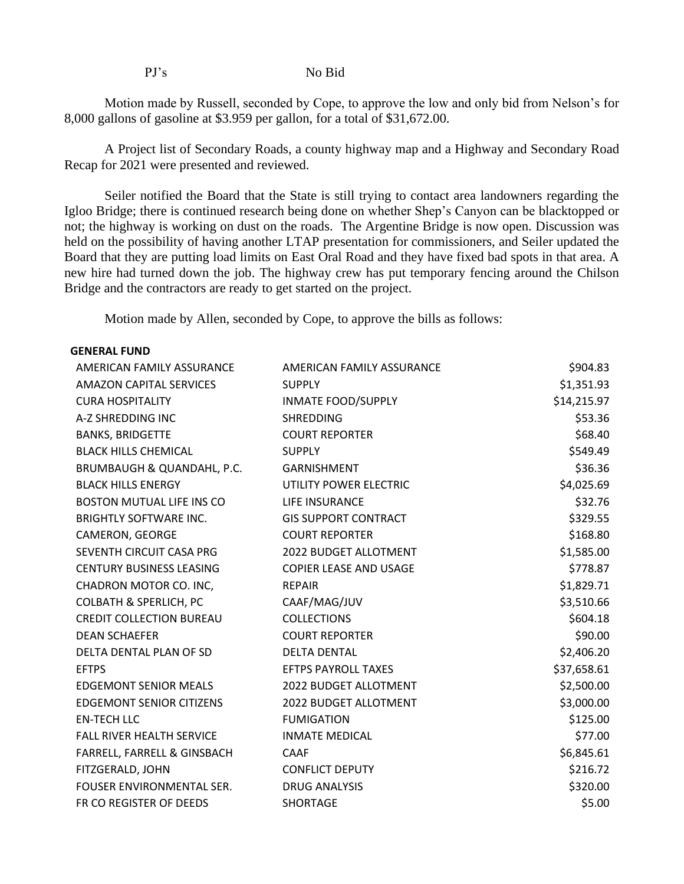### PJ's No Bid

Motion made by Russell, seconded by Cope, to approve the low and only bid from Nelson's for 8,000 gallons of gasoline at \$3.959 per gallon, for a total of \$31,672.00.

A Project list of Secondary Roads, a county highway map and a Highway and Secondary Road Recap for 2021 were presented and reviewed.

Seiler notified the Board that the State is still trying to contact area landowners regarding the Igloo Bridge; there is continued research being done on whether Shep's Canyon can be blacktopped or not; the highway is working on dust on the roads. The Argentine Bridge is now open. Discussion was held on the possibility of having another LTAP presentation for commissioners, and Seiler updated the Board that they are putting load limits on East Oral Road and they have fixed bad spots in that area. A new hire had turned down the job. The highway crew has put temporary fencing around the Chilson Bridge and the contractors are ready to get started on the project.

Motion made by Allen, seconded by Cope, to approve the bills as follows:

## **GENERAL FUND**

| AMERICAN FAMILY ASSURANCE         | AMERICAN FAMILY ASSURANCE   | \$904.83    |
|-----------------------------------|-----------------------------|-------------|
| <b>AMAZON CAPITAL SERVICES</b>    | <b>SUPPLY</b>               | \$1,351.93  |
| <b>CURA HOSPITALITY</b>           | <b>INMATE FOOD/SUPPLY</b>   | \$14,215.97 |
| A-Z SHREDDING INC                 | <b>SHREDDING</b>            | \$53.36     |
| <b>BANKS, BRIDGETTE</b>           | <b>COURT REPORTER</b>       | \$68.40     |
| <b>BLACK HILLS CHEMICAL</b>       | <b>SUPPLY</b>               | \$549.49    |
| BRUMBAUGH & QUANDAHL, P.C.        | <b>GARNISHMENT</b>          | \$36.36     |
| <b>BLACK HILLS ENERGY</b>         | UTILITY POWER ELECTRIC      | \$4,025.69  |
| BOSTON MUTUAL LIFE INS CO         | LIFE INSURANCE              | \$32.76     |
| <b>BRIGHTLY SOFTWARE INC.</b>     | <b>GIS SUPPORT CONTRACT</b> | \$329.55    |
| CAMERON, GEORGE                   | <b>COURT REPORTER</b>       | \$168.80    |
| SEVENTH CIRCUIT CASA PRG          | 2022 BUDGET ALLOTMENT       | \$1,585.00  |
| <b>CENTURY BUSINESS LEASING</b>   | COPIER LEASE AND USAGE      | \$778.87    |
| CHADRON MOTOR CO. INC,            | <b>REPAIR</b>               | \$1,829.71  |
| <b>COLBATH &amp; SPERLICH, PC</b> | CAAF/MAG/JUV                | \$3,510.66  |
| <b>CREDIT COLLECTION BUREAU</b>   | <b>COLLECTIONS</b>          | \$604.18    |
| <b>DEAN SCHAEFER</b>              | <b>COURT REPORTER</b>       | \$90.00     |
| DELTA DENTAL PLAN OF SD           | <b>DELTA DENTAL</b>         | \$2,406.20  |
| <b>EFTPS</b>                      | <b>EFTPS PAYROLL TAXES</b>  | \$37,658.61 |
| <b>EDGEMONT SENIOR MEALS</b>      | 2022 BUDGET ALLOTMENT       | \$2,500.00  |
| <b>EDGEMONT SENIOR CITIZENS</b>   | 2022 BUDGET ALLOTMENT       | \$3,000.00  |
| <b>EN-TECH LLC</b>                | <b>FUMIGATION</b>           | \$125.00    |
| FALL RIVER HEALTH SERVICE         | <b>INMATE MEDICAL</b>       | \$77.00     |
| FARRELL, FARRELL & GINSBACH       | <b>CAAF</b>                 | \$6,845.61  |
| FITZGERALD, JOHN                  | <b>CONFLICT DEPUTY</b>      | \$216.72    |
| FOUSER ENVIRONMENTAL SER.         | <b>DRUG ANALYSIS</b>        | \$320.00    |
| FR CO REGISTER OF DEEDS           | <b>SHORTAGE</b>             | \$5.00      |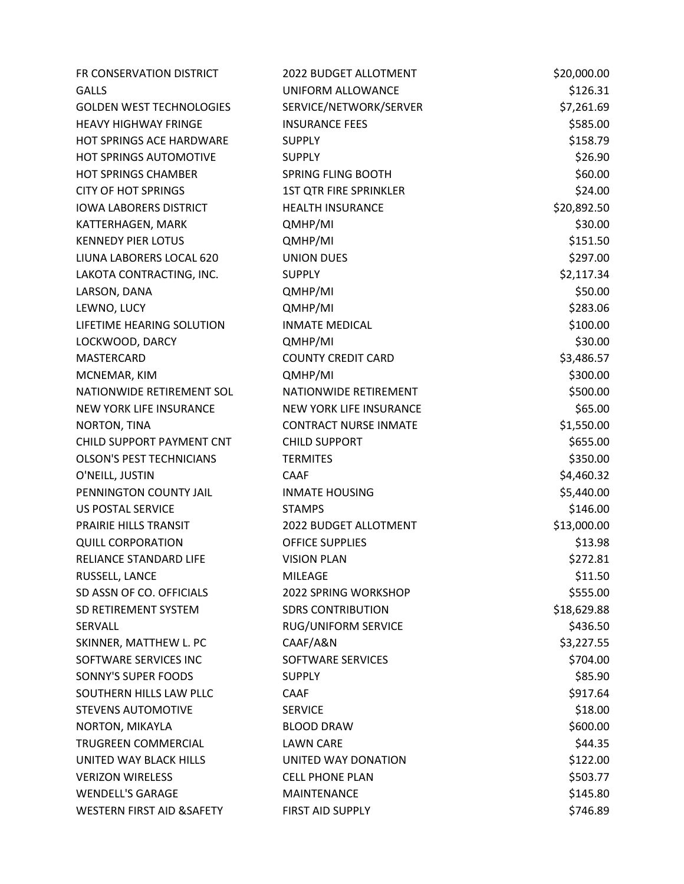| FR CONSERVATION DISTRICT              | 2022 BUDGET ALLOTMENT         | \$20,000.00 |
|---------------------------------------|-------------------------------|-------------|
| <b>GALLS</b>                          | UNIFORM ALLOWANCE             | \$126.31    |
| <b>GOLDEN WEST TECHNOLOGIES</b>       | SERVICE/NETWORK/SERVER        | \$7,261.69  |
| <b>HEAVY HIGHWAY FRINGE</b>           | <b>INSURANCE FEES</b>         | \$585.00    |
| <b>HOT SPRINGS ACE HARDWARE</b>       | <b>SUPPLY</b>                 | \$158.79    |
| HOT SPRINGS AUTOMOTIVE                | <b>SUPPLY</b>                 | \$26.90     |
| <b>HOT SPRINGS CHAMBER</b>            | SPRING FLING BOOTH            | \$60.00     |
| <b>CITY OF HOT SPRINGS</b>            | <b>1ST QTR FIRE SPRINKLER</b> | \$24.00     |
| <b>IOWA LABORERS DISTRICT</b>         | <b>HEALTH INSURANCE</b>       | \$20,892.50 |
| KATTERHAGEN, MARK                     | QMHP/MI                       | \$30.00     |
| <b>KENNEDY PIER LOTUS</b>             | QMHP/MI                       | \$151.50    |
| LIUNA LABORERS LOCAL 620              | <b>UNION DUES</b>             | \$297.00    |
| LAKOTA CONTRACTING, INC.              | <b>SUPPLY</b>                 | \$2,117.34  |
| LARSON, DANA                          | QMHP/MI                       | \$50.00     |
| LEWNO, LUCY                           | QMHP/MI                       | \$283.06    |
| LIFETIME HEARING SOLUTION             | <b>INMATE MEDICAL</b>         | \$100.00    |
| LOCKWOOD, DARCY                       | QMHP/MI                       | \$30.00     |
| MASTERCARD                            | <b>COUNTY CREDIT CARD</b>     | \$3,486.57  |
| MCNEMAR, KIM                          | QMHP/MI                       | \$300.00    |
| NATIONWIDE RETIREMENT SOL             | NATIONWIDE RETIREMENT         | \$500.00    |
| NEW YORK LIFE INSURANCE               | NEW YORK LIFE INSURANCE       | \$65.00     |
| NORTON, TINA                          | <b>CONTRACT NURSE INMATE</b>  | \$1,550.00  |
| CHILD SUPPORT PAYMENT CNT             | <b>CHILD SUPPORT</b>          | \$655.00    |
| <b>OLSON'S PEST TECHNICIANS</b>       | <b>TERMITES</b>               | \$350.00    |
| O'NEILL, JUSTIN                       | <b>CAAF</b>                   | \$4,460.32  |
| PENNINGTON COUNTY JAIL                | <b>INMATE HOUSING</b>         | \$5,440.00  |
| <b>US POSTAL SERVICE</b>              | <b>STAMPS</b>                 | \$146.00    |
| PRAIRIE HILLS TRANSIT                 | 2022 BUDGET ALLOTMENT         | \$13,000.00 |
| <b>QUILL CORPORATION</b>              | <b>OFFICE SUPPLIES</b>        | \$13.98     |
| RELIANCE STANDARD LIFE                | <b>VISION PLAN</b>            | \$272.81    |
| RUSSELL, LANCE                        | <b>MILEAGE</b>                | \$11.50     |
| SD ASSN OF CO. OFFICIALS              | 2022 SPRING WORKSHOP          | \$555.00    |
| SD RETIREMENT SYSTEM                  | <b>SDRS CONTRIBUTION</b>      | \$18,629.88 |
| SERVALL                               | RUG/UNIFORM SERVICE           | \$436.50    |
| SKINNER, MATTHEW L. PC                | CAAF/A&N                      | \$3,227.55  |
| SOFTWARE SERVICES INC                 | SOFTWARE SERVICES             | \$704.00    |
| SONNY'S SUPER FOODS                   | <b>SUPPLY</b>                 | \$85.90     |
| SOUTHERN HILLS LAW PLLC               | <b>CAAF</b>                   | \$917.64    |
| <b>STEVENS AUTOMOTIVE</b>             | <b>SERVICE</b>                | \$18.00     |
| NORTON, MIKAYLA                       | <b>BLOOD DRAW</b>             | \$600.00    |
| TRUGREEN COMMERCIAL                   | <b>LAWN CARE</b>              | \$44.35     |
| UNITED WAY BLACK HILLS                | UNITED WAY DONATION           | \$122.00    |
| <b>VERIZON WIRELESS</b>               | <b>CELL PHONE PLAN</b>        | \$503.77    |
| <b>WENDELL'S GARAGE</b>               | <b>MAINTENANCE</b>            | \$145.80    |
| <b>WESTERN FIRST AID &amp; SAFETY</b> | FIRST AID SUPPLY              | \$746.89    |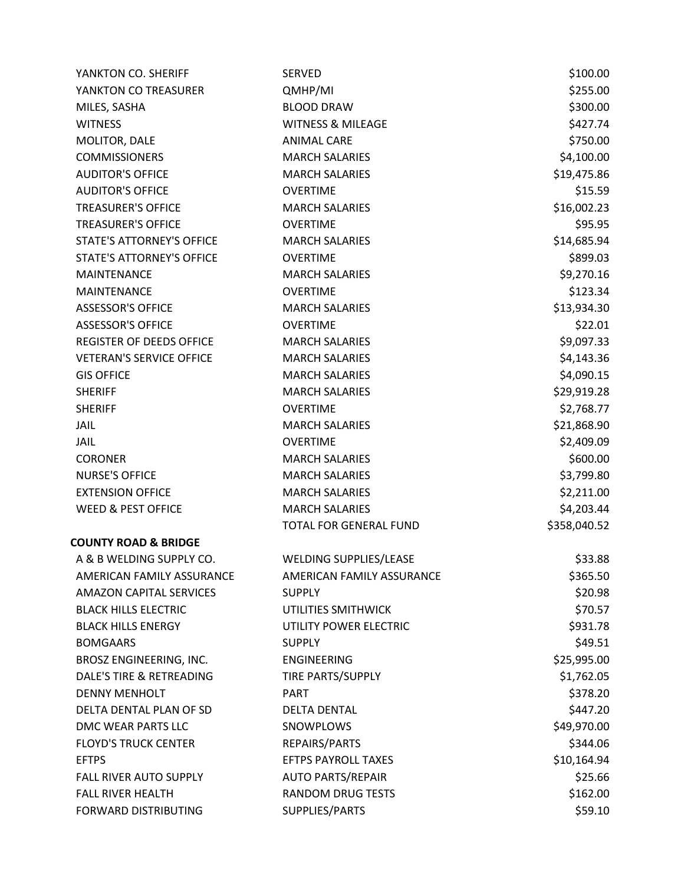| YANKTON CO. SHERIFF              | <b>SERVED</b>                 | \$100.00     |
|----------------------------------|-------------------------------|--------------|
| YANKTON CO TREASURER             | QMHP/MI                       | \$255.00     |
| MILES, SASHA                     | <b>BLOOD DRAW</b>             | \$300.00     |
| <b>WITNESS</b>                   | <b>WITNESS &amp; MILEAGE</b>  | \$427.74     |
| MOLITOR, DALE                    | <b>ANIMAL CARE</b>            | \$750.00     |
| <b>COMMISSIONERS</b>             | <b>MARCH SALARIES</b>         | \$4,100.00   |
| <b>AUDITOR'S OFFICE</b>          | <b>MARCH SALARIES</b>         | \$19,475.86  |
| <b>AUDITOR'S OFFICE</b>          | <b>OVERTIME</b>               | \$15.59      |
| <b>TREASURER'S OFFICE</b>        | <b>MARCH SALARIES</b>         | \$16,002.23  |
| <b>TREASURER'S OFFICE</b>        | <b>OVERTIME</b>               | \$95.95      |
| <b>STATE'S ATTORNEY'S OFFICE</b> | <b>MARCH SALARIES</b>         | \$14,685.94  |
| STATE'S ATTORNEY'S OFFICE        | <b>OVERTIME</b>               | \$899.03     |
| <b>MAINTENANCE</b>               | <b>MARCH SALARIES</b>         | \$9,270.16   |
| MAINTENANCE                      | <b>OVERTIME</b>               | \$123.34     |
| <b>ASSESSOR'S OFFICE</b>         | <b>MARCH SALARIES</b>         | \$13,934.30  |
| <b>ASSESSOR'S OFFICE</b>         | <b>OVERTIME</b>               | \$22.01      |
| <b>REGISTER OF DEEDS OFFICE</b>  | <b>MARCH SALARIES</b>         | \$9,097.33   |
| <b>VETERAN'S SERVICE OFFICE</b>  | <b>MARCH SALARIES</b>         | \$4,143.36   |
| <b>GIS OFFICE</b>                | <b>MARCH SALARIES</b>         | \$4,090.15   |
| <b>SHERIFF</b>                   | <b>MARCH SALARIES</b>         | \$29,919.28  |
| <b>SHERIFF</b>                   | <b>OVERTIME</b>               | \$2,768.77   |
| <b>JAIL</b>                      | <b>MARCH SALARIES</b>         | \$21,868.90  |
| <b>JAIL</b>                      | <b>OVERTIME</b>               | \$2,409.09   |
| <b>CORONER</b>                   | <b>MARCH SALARIES</b>         | \$600.00     |
| <b>NURSE'S OFFICE</b>            | <b>MARCH SALARIES</b>         | \$3,799.80   |
| <b>EXTENSION OFFICE</b>          | <b>MARCH SALARIES</b>         | \$2,211.00   |
| <b>WEED &amp; PEST OFFICE</b>    | <b>MARCH SALARIES</b>         | \$4,203.44   |
|                                  | TOTAL FOR GENERAL FUND        | \$358,040.52 |
| <b>COUNTY ROAD &amp; BRIDGE</b>  |                               |              |
| A & B WELDING SUPPLY CO.         | <b>WELDING SUPPLIES/LEASE</b> | \$33.88      |
| AMERICAN FAMILY ASSURANCE        | AMERICAN FAMILY ASSURANCE     | \$365.50     |
| <b>AMAZON CAPITAL SERVICES</b>   | <b>SUPPLY</b>                 | \$20.98      |
| <b>BLACK HILLS ELECTRIC</b>      | UTILITIES SMITHWICK           | \$70.57      |
| <b>BLACK HILLS ENERGY</b>        | UTILITY POWER ELECTRIC        | \$931.78     |
| <b>BOMGAARS</b>                  | <b>SUPPLY</b>                 | \$49.51      |
| BROSZ ENGINEERING, INC.          | <b>ENGINEERING</b>            | \$25,995.00  |
| DALE'S TIRE & RETREADING         | <b>TIRE PARTS/SUPPLY</b>      | \$1,762.05   |
| <b>DENNY MENHOLT</b>             | <b>PART</b>                   | \$378.20     |
| DELTA DENTAL PLAN OF SD          | <b>DELTA DENTAL</b>           | \$447.20     |
| DMC WEAR PARTS LLC               | SNOWPLOWS                     | \$49,970.00  |
| <b>FLOYD'S TRUCK CENTER</b>      | REPAIRS/PARTS                 | \$344.06     |
| <b>EFTPS</b>                     | <b>EFTPS PAYROLL TAXES</b>    | \$10,164.94  |
| <b>FALL RIVER AUTO SUPPLY</b>    | <b>AUTO PARTS/REPAIR</b>      | \$25.66      |
| <b>FALL RIVER HEALTH</b>         | <b>RANDOM DRUG TESTS</b>      | \$162.00     |
| FORWARD DISTRIBUTING             | SUPPLIES/PARTS                | \$59.10      |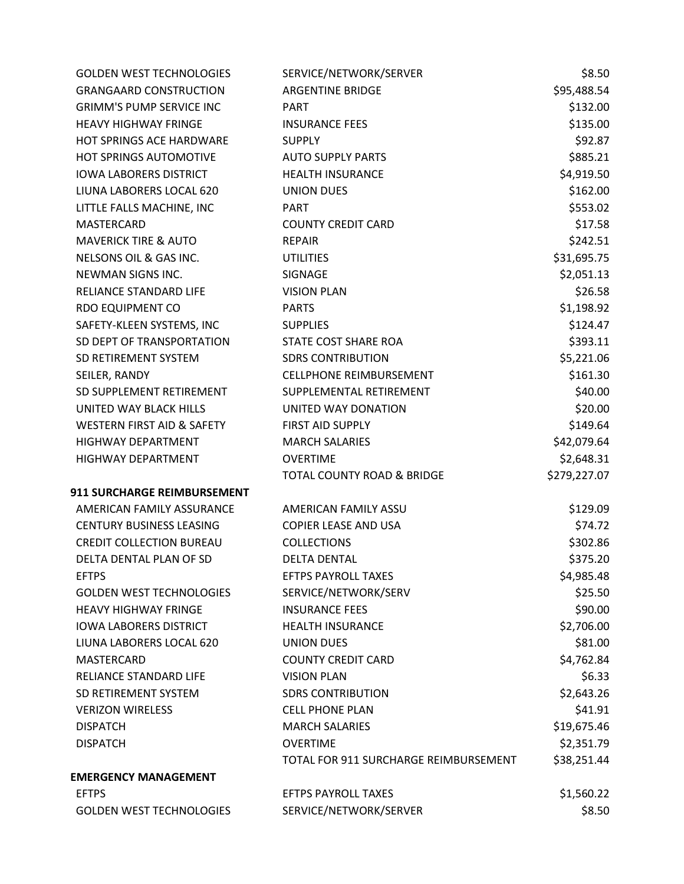| <b>GOLDEN WEST TECHNOLOGIES</b>       | SERVICE/NETWORK/SERVER                | \$8.50       |
|---------------------------------------|---------------------------------------|--------------|
| <b>GRANGAARD CONSTRUCTION</b>         | <b>ARGENTINE BRIDGE</b>               | \$95,488.54  |
| <b>GRIMM'S PUMP SERVICE INC</b>       | <b>PART</b>                           | \$132.00     |
| <b>HEAVY HIGHWAY FRINGE</b>           | <b>INSURANCE FEES</b>                 | \$135.00     |
| <b>HOT SPRINGS ACE HARDWARE</b>       | <b>SUPPLY</b>                         | \$92.87      |
| <b>HOT SPRINGS AUTOMOTIVE</b>         | <b>AUTO SUPPLY PARTS</b>              | \$885.21     |
| <b>IOWA LABORERS DISTRICT</b>         | <b>HEALTH INSURANCE</b>               | \$4,919.50   |
| LIUNA LABORERS LOCAL 620              | <b>UNION DUES</b>                     | \$162.00     |
| LITTLE FALLS MACHINE, INC             | <b>PART</b>                           | \$553.02     |
| <b>MASTERCARD</b>                     | <b>COUNTY CREDIT CARD</b>             | \$17.58      |
| <b>MAVERICK TIRE &amp; AUTO</b>       | <b>REPAIR</b>                         | \$242.51     |
| NELSONS OIL & GAS INC.                | <b>UTILITIES</b>                      | \$31,695.75  |
| NEWMAN SIGNS INC.                     | SIGNAGE                               | \$2,051.13   |
| RELIANCE STANDARD LIFE                | <b>VISION PLAN</b>                    | \$26.58      |
| RDO EQUIPMENT CO                      | <b>PARTS</b>                          | \$1,198.92   |
| SAFETY-KLEEN SYSTEMS, INC             | <b>SUPPLIES</b>                       | \$124.47     |
| SD DEPT OF TRANSPORTATION             | STATE COST SHARE ROA                  | \$393.11     |
| SD RETIREMENT SYSTEM                  | <b>SDRS CONTRIBUTION</b>              | \$5,221.06   |
| SEILER, RANDY                         | <b>CELLPHONE REIMBURSEMENT</b>        | \$161.30     |
| SD SUPPLEMENT RETIREMENT              | SUPPLEMENTAL RETIREMENT               | \$40.00      |
| UNITED WAY BLACK HILLS                | UNITED WAY DONATION                   | \$20.00      |
| <b>WESTERN FIRST AID &amp; SAFETY</b> | FIRST AID SUPPLY                      | \$149.64     |
| <b>HIGHWAY DEPARTMENT</b>             | <b>MARCH SALARIES</b>                 | \$42,079.64  |
| HIGHWAY DEPARTMENT                    | <b>OVERTIME</b>                       | \$2,648.31   |
|                                       | <b>TOTAL COUNTY ROAD &amp; BRIDGE</b> | \$279,227.07 |
| 911 SURCHARGE REIMBURSEMENT           |                                       |              |
| AMERICAN FAMILY ASSURANCE             | AMERICAN FAMILY ASSU                  | \$129.09     |
| <b>CENTURY BUSINESS LEASING</b>       | <b>COPIER LEASE AND USA</b>           | \$74.72      |
| <b>CREDIT COLLECTION BUREAU</b>       | <b>COLLECTIONS</b>                    | \$302.86     |
| DELTA DENTAL PLAN OF SD               | <b>DELTA DENTAL</b>                   | \$375.20     |
| <b>EFTPS</b>                          | <b>EFTPS PAYROLL TAXES</b>            | \$4,985.48   |
| <b>GOLDEN WEST TECHNOLOGIES</b>       | SERVICE/NETWORK/SERV                  | \$25.50      |
| <b>HEAVY HIGHWAY FRINGE</b>           | <b>INSURANCE FEES</b>                 | \$90.00      |
| <b>IOWA LABORERS DISTRICT</b>         | <b>HEALTH INSURANCE</b>               | \$2,706.00   |
| LIUNA LABORERS LOCAL 620              | <b>UNION DUES</b>                     | \$81.00      |
| <b>MASTERCARD</b>                     | <b>COUNTY CREDIT CARD</b>             | \$4,762.84   |
| <b>RELIANCE STANDARD LIFE</b>         | <b>VISION PLAN</b>                    | \$6.33       |
| SD RETIREMENT SYSTEM                  | <b>SDRS CONTRIBUTION</b>              | \$2,643.26   |
| <b>VERIZON WIRELESS</b>               | <b>CELL PHONE PLAN</b>                | \$41.91      |
| <b>DISPATCH</b>                       | <b>MARCH SALARIES</b>                 | \$19,675.46  |
| <b>DISPATCH</b>                       | <b>OVERTIME</b>                       | \$2,351.79   |
|                                       | TOTAL FOR 911 SURCHARGE REIMBURSEMENT | \$38,251.44  |
| <b>EMERGENCY MANAGEMENT</b>           |                                       |              |
| <b>EFTPS</b>                          | <b>EFTPS PAYROLL TAXES</b>            | \$1,560.22   |
| <b>GOLDEN WEST TECHNOLOGIES</b>       | SERVICE/NETWORK/SERVER                | \$8.50       |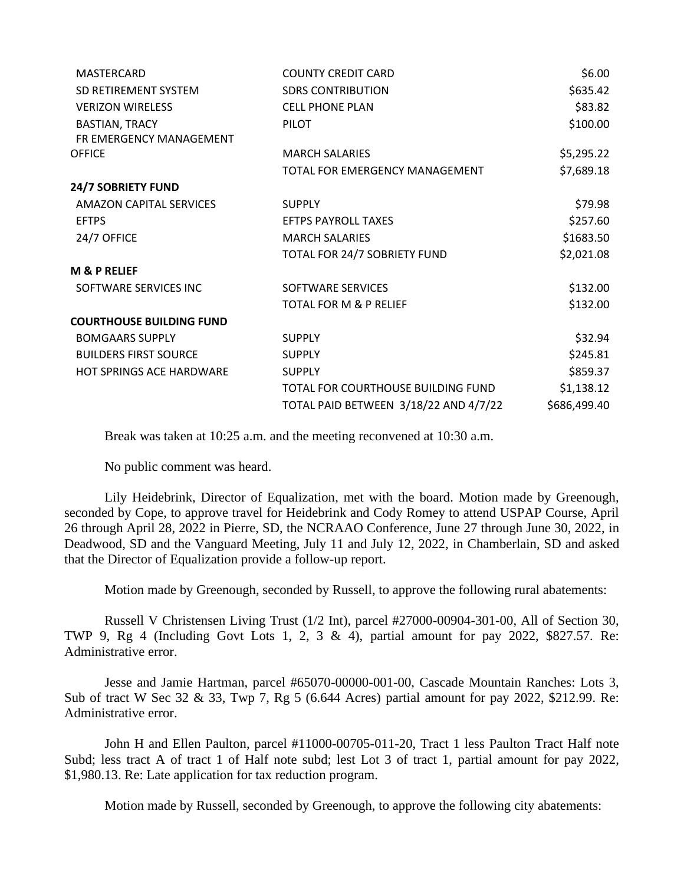| <b>MASTERCARD</b>               | <b>COUNTY CREDIT CARD</b>             | \$6.00       |
|---------------------------------|---------------------------------------|--------------|
| SD RETIREMENT SYSTEM            | <b>SDRS CONTRIBUTION</b>              | \$635.42     |
| <b>VERIZON WIRELESS</b>         | <b>CELL PHONE PLAN</b>                | \$83.82      |
| <b>BASTIAN, TRACY</b>           | <b>PILOT</b>                          | \$100.00     |
| FR EMERGENCY MANAGEMENT         |                                       |              |
| <b>OFFICE</b>                   | <b>MARCH SALARIES</b>                 | \$5,295.22   |
|                                 | TOTAL FOR EMERGENCY MANAGEMENT        | \$7,689.18   |
| <b>24/7 SOBRIETY FUND</b>       |                                       |              |
| <b>AMAZON CAPITAL SERVICES</b>  | <b>SUPPLY</b>                         | \$79.98      |
| <b>EFTPS</b>                    | <b>EFTPS PAYROLL TAXES</b>            | \$257.60     |
| 24/7 OFFICE                     | <b>MARCH SALARIES</b>                 | \$1683.50    |
|                                 | TOTAL FOR 24/7 SOBRIETY FUND          | \$2,021.08   |
| <b>M &amp; P RELIEF</b>         |                                       |              |
| SOFTWARE SERVICES INC           | SOFTWARE SERVICES                     | \$132.00     |
|                                 | <b>TOTAL FOR M &amp; P RELIEF</b>     | \$132.00     |
| <b>COURTHOUSE BUILDING FUND</b> |                                       |              |
| <b>BOMGAARS SUPPLY</b>          | <b>SUPPLY</b>                         | \$32.94      |
| <b>BUILDERS FIRST SOURCE</b>    | <b>SUPPLY</b>                         | \$245.81     |
| <b>HOT SPRINGS ACE HARDWARE</b> | <b>SUPPLY</b>                         | \$859.37     |
|                                 | TOTAL FOR COURTHOUSE BUILDING FUND    | \$1,138.12   |
|                                 | TOTAL PAID BETWEEN 3/18/22 AND 4/7/22 | \$686,499.40 |
|                                 |                                       |              |

Break was taken at 10:25 a.m. and the meeting reconvened at 10:30 a.m.

No public comment was heard.

Lily Heidebrink, Director of Equalization, met with the board. Motion made by Greenough, seconded by Cope, to approve travel for Heidebrink and Cody Romey to attend USPAP Course, April 26 through April 28, 2022 in Pierre, SD, the NCRAAO Conference, June 27 through June 30, 2022, in Deadwood, SD and the Vanguard Meeting, July 11 and July 12, 2022, in Chamberlain, SD and asked that the Director of Equalization provide a follow-up report.

Motion made by Greenough, seconded by Russell, to approve the following rural abatements:

Russell V Christensen Living Trust (1/2 Int), parcel #27000-00904-301-00, All of Section 30, TWP 9, Rg 4 (Including Govt Lots 1, 2, 3 & 4), partial amount for pay 2022, \$827.57. Re: Administrative error.

Jesse and Jamie Hartman, parcel #65070-00000-001-00, Cascade Mountain Ranches: Lots 3, Sub of tract W Sec 32 & 33, Twp 7, Rg 5 (6.644 Acres) partial amount for pay 2022, \$212.99. Re: Administrative error.

John H and Ellen Paulton, parcel #11000-00705-011-20, Tract 1 less Paulton Tract Half note Subd; less tract A of tract 1 of Half note subd; lest Lot 3 of tract 1, partial amount for pay 2022, \$1,980.13. Re: Late application for tax reduction program.

Motion made by Russell, seconded by Greenough, to approve the following city abatements: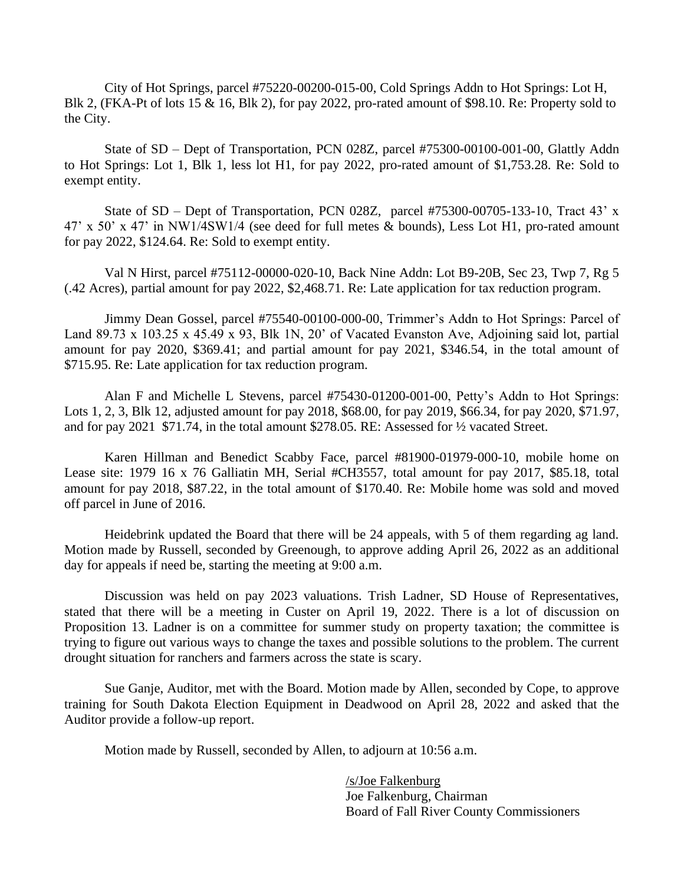City of Hot Springs, parcel #75220-00200-015-00, Cold Springs Addn to Hot Springs: Lot H, Blk 2, (FKA-Pt of lots 15 & 16, Blk 2), for pay 2022, pro-rated amount of \$98.10. Re: Property sold to the City.

State of SD – Dept of Transportation, PCN 028Z, parcel #75300-00100-001-00, Glattly Addn to Hot Springs: Lot 1, Blk 1, less lot H1, for pay 2022, pro-rated amount of \$1,753.28. Re: Sold to exempt entity.

State of SD – Dept of Transportation, PCN 028Z, parcel  $#75300-00705-133-10$ , Tract 43' x 47' x 50' x 47' in NW1/4SW1/4 (see deed for full metes & bounds), Less Lot H1, pro-rated amount for pay 2022, \$124.64. Re: Sold to exempt entity.

Val N Hirst, parcel #75112-00000-020-10, Back Nine Addn: Lot B9-20B, Sec 23, Twp 7, Rg 5 (.42 Acres), partial amount for pay 2022, \$2,468.71. Re: Late application for tax reduction program.

Jimmy Dean Gossel, parcel #75540-00100-000-00, Trimmer's Addn to Hot Springs: Parcel of Land 89.73 x 103.25 x 45.49 x 93, Blk 1N, 20' of Vacated Evanston Ave, Adjoining said lot, partial amount for pay 2020, \$369.41; and partial amount for pay 2021, \$346.54, in the total amount of \$715.95. Re: Late application for tax reduction program.

Alan F and Michelle L Stevens, parcel #75430-01200-001-00, Petty's Addn to Hot Springs: Lots 1, 2, 3, Blk 12, adjusted amount for pay 2018, \$68.00, for pay 2019, \$66.34, for pay 2020, \$71.97, and for pay 2021 \$71.74, in the total amount \$278.05. RE: Assessed for ½ vacated Street.

Karen Hillman and Benedict Scabby Face, parcel #81900-01979-000-10, mobile home on Lease site: 1979 16 x 76 Galliatin MH, Serial #CH3557, total amount for pay 2017, \$85.18, total amount for pay 2018, \$87.22, in the total amount of \$170.40. Re: Mobile home was sold and moved off parcel in June of 2016.

Heidebrink updated the Board that there will be 24 appeals, with 5 of them regarding ag land. Motion made by Russell, seconded by Greenough, to approve adding April 26, 2022 as an additional day for appeals if need be, starting the meeting at 9:00 a.m.

Discussion was held on pay 2023 valuations. Trish Ladner, SD House of Representatives, stated that there will be a meeting in Custer on April 19, 2022. There is a lot of discussion on Proposition 13. Ladner is on a committee for summer study on property taxation; the committee is trying to figure out various ways to change the taxes and possible solutions to the problem. The current drought situation for ranchers and farmers across the state is scary.

Sue Ganje, Auditor, met with the Board. Motion made by Allen, seconded by Cope, to approve training for South Dakota Election Equipment in Deadwood on April 28, 2022 and asked that the Auditor provide a follow-up report.

Motion made by Russell, seconded by Allen, to adjourn at 10:56 a.m.

/s/Joe Falkenburg Joe Falkenburg, Chairman Board of Fall River County Commissioners